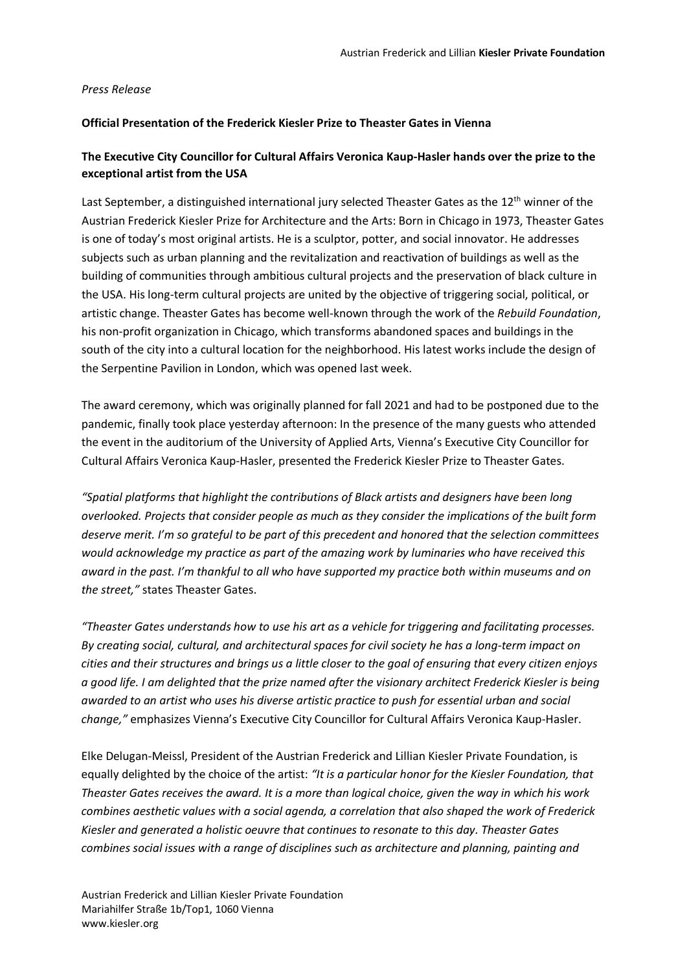#### *Press Release*

#### **Official Presentation of the Frederick Kiesler Prize to Theaster Gates in Vienna**

# **The Executive City Councillor for Cultural Affairs Veronica Kaup-Hasler hands over the prize to the exceptional artist from the USA**

Last September, a distinguished international jury selected Theaster Gates as the 12<sup>th</sup> winner of the Austrian Frederick Kiesler Prize for Architecture and the Arts: Born in Chicago in 1973, Theaster Gates is one of today's most original artists. He is a sculptor, potter, and social innovator. He addresses subjects such as urban planning and the revitalization and reactivation of buildings as well as the building of communities through ambitious cultural projects and the preservation of black culture in the USA. His long-term cultural projects are united by the objective of triggering social, political, or artistic change. Theaster Gates has become well-known through the work of the *Rebuild Foundation*, his non-profit organization in Chicago, which transforms abandoned spaces and buildings in the south of the city into a cultural location for the neighborhood. His latest works include the design of the Serpentine Pavilion in London, which was opened last week.

The award ceremony, which was originally planned for fall 2021 and had to be postponed due to the pandemic, finally took place yesterday afternoon: In the presence of the many guests who attended the event in the auditorium of the University of Applied Arts, Vienna's Executive City Councillor for Cultural Affairs Veronica Kaup-Hasler, presented the Frederick Kiesler Prize to Theaster Gates.

*"Spatial platforms that highlight the contributions of Black artists and designers have been long overlooked. Projects that consider people as much as they consider the implications of the built form deserve merit. I'm so grateful to be part of this precedent and honored that the selection committees would acknowledge my practice as part of the amazing work by luminaries who have received this award in the past. I'm thankful to all who have supported my practice both within museums and on the street,"* states Theaster Gates.

*"Theaster Gates understands how to use his art as a vehicle for triggering and facilitating processes. By creating social, cultural, and architectural spaces for civil society he has a long-term impact on cities and their structures and brings us a little closer to the goal of ensuring that every citizen enjoys a good life. I am delighted that the prize named after the visionary architect Frederick Kiesler is being awarded to an artist who uses his diverse artistic practice to push for essential urban and social change,"* emphasizes Vienna's Executive City Councillor for Cultural Affairs Veronica Kaup-Hasler.

Elke Delugan-Meissl, President of the Austrian Frederick and Lillian Kiesler Private Foundation, is equally delighted by the choice of the artist: *"It is a particular honor for the Kiesler Foundation, that Theaster Gates receives the award. It is a more than logical choice, given the way in which his work combines aesthetic values with a social agenda, a correlation that also shaped the work of Frederick Kiesler and generated a holistic oeuvre that continues to resonate to this day. Theaster Gates combines social issues with a range of disciplines such as architecture and planning, painting and*